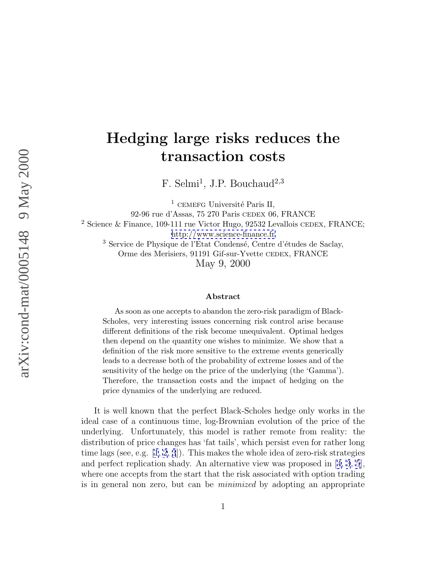## **Hedging large risks reduces the transaction costs**

F. Selmi<sup>1</sup>, J.P. Bouchaud<sup>2,3</sup>

 $1$  CEMEFG Université Paris II, 92-96 rue d'Assas, 75 270 Paris cedex 06, FRANCE <sup>2</sup> Science & Finance, 109-111 rue Victor Hugo, 92532 Levallois CEDEX, FRANCE; <http://www.science-finance.fr>  $3$  Service de Physique de l'État Condensé, Centre d'études de Saclay, Orme des Merisiers, 91191 Gif-sur-Yvette cedex, FRANCE May 9, 2000

## **Abstract**

As soon as one accepts to abandon the zero-risk paradigm of Black-Scholes, very interesting issues concerning risk control arise because different definitions of the risk become unequivalent. Optimal hedges then depend on the quantity one wishes to minimize. We show that a definition of the risk more sensitive to the extreme events generically leads to a decrease both of the probability of extreme losses and of the sensitivity of the hedge on the price of the underlying (the 'Gamma'). Therefore, the transaction costs and the impact of hedging on the price dynamics of the underlying are reduced.

It is well known that the perfect Black-Scholes hedge only works in the ideal case of a continuous time, log-Brownian evolution of the price of the underlying. Unfortunately, this model is rather remote from reality: the distribution of price changes has 'fat tails', which persist even for rather long time lags (see, e.g. [\[1](#page-7-0), [2](#page-7-0), [3](#page-7-0)]). This makes the whole idea of zero-risk strategies and perfect replication shady. An alternative view was proposed in [[4, 3](#page-7-0), [5](#page-7-0)], where one accepts from the start that the risk associated with option trading is in general non zero, but can be minimized by adopting an appropriate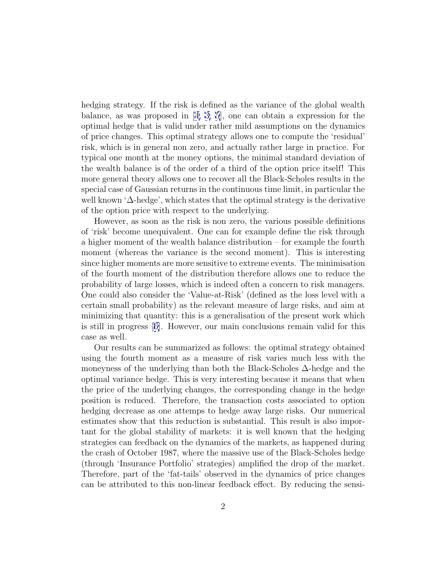hedging strategy. If the risk is defined as the variance of the global wealth balance, as was proposed in [[4, 3, 5](#page-7-0)], one can obtain a expression for the optimal hedge that is valid under rather mild assumptions on the dynamics of price changes. This optimal strategy allows one to compute the 'residual' risk, which is in general non zero, and actually rather large in practice. For typical one month at the money options, the minimal standard deviation of the wealth balance is of the order of a third of the option price itself! This more general theory allows one to recover all the Black-Scholes results in the special case of Gaussian returns in the continuous time limit, in particular the well known '∆-hedge', which states that the optimal strategy is the derivative of the option price with respect to the underlying.

However, as soon as the risk is non zero, the various possible definitions of 'risk' become unequivalent. One can for example define the risk through a higher moment of the wealth balance distribution – for example the fourth moment (whereas the variance is the second moment). This is interesting since higher moments are more sensitive to extreme events. The minimisation of the fourth moment of the distribution therefore allows one to reduce the probability of large losses, which is indeed often a concern to risk managers. One could also consider the 'Value-at-Risk' (defined as the loss level with a certain small probability) as the relevant measure of large risks, and aim at minimizing that quantity: this is a generalisation of the present work which is still in progress [[6\]](#page-7-0). However, our main conclusions remain valid for this case as well.

Our results can be summarized as follows: the optimal strategy obtained using the fourth moment as a measure of risk varies much less with the moneyness of the underlying than both the Black-Scholes ∆-hedge and the optimal variance hedge. This is very interesting because it means that when the price of the underlying changes, the corresponding change in the hedge position is reduced. Therefore, the transaction costs associated to option hedging decrease as one attemps to hedge away large risks. Our numerical estimates show that this reduction is substantial. This result is also important for the global stability of markets: it is well known that the hedging strategies can feedback on the dynamics of the markets, as happened during the crash of October 1987, where the massive use of the Black-Scholes hedge (through 'Insurance Portfolio' strategies) amplified the drop of the market. Therefore, part of the 'fat-tails' observed in the dynamics of price changes can be attributed to this non-linear feedback effect. By reducing the sensi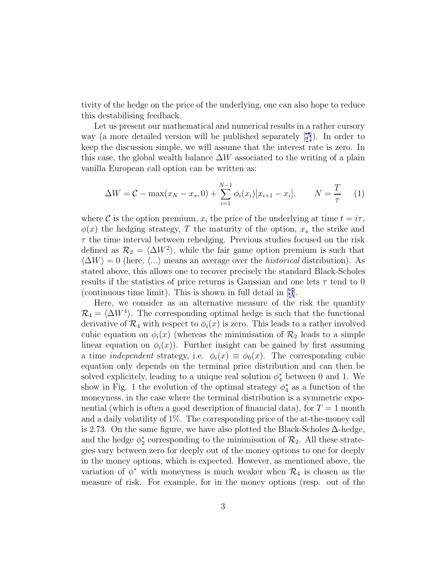tivity of the hedge on the price of the underlying, one can also hope to reduce this destabilising feedback.

Let us present our mathematical and numerical results in a rather cursory way (a more detailed version will be published separately [[7\]](#page-7-0)). In order to keep the discussion simple, we will assume that the interest rate is zero. In this case, the global wealth balance  $\Delta W$  associated to the writing of a plain vanilla European call option can be written as:

$$
\Delta W = C - \max(x_N - x_s, 0) + \sum_{i=1}^{N-1} \phi_i(x_i) [x_{i+1} - x_i], \qquad N = \frac{T}{\tau}
$$
 (1)

where C is the option premium,  $x_i$  the price of the underlying at time  $t = i\tau$ ,  $\phi(x)$  the hedging strategy, T the maturity of the option,  $x_s$  the strike and  $\tau$  the time interval between rehedging. Previous studies focused on the risk defined as  $\mathcal{R}_2 = \langle \Delta W^2 \rangle$ , while the fair game option premium is such that  $\langle \Delta W \rangle = 0$  (here,  $\langle ... \rangle$  means an average over the *historical* distribution). As stated above, this allows one to recover precisely the standard Black-Scholes results if the statistics of price returns is Gaussian and one lets  $\tau$  tend to 0 (continuous time limit). This is shown in full detail in [[3\]](#page-7-0).

Here, we consider as an alternative measure of the risk the quantity  $\mathcal{R}_4 = \langle \Delta W^4 \rangle$ . The corresponding optimal hedge is such that the functional derivative of  $\mathcal{R}_4$  with respect to  $\phi_i(x)$  is zero. This leads to a rather involved cubic equation on  $\phi_i(x)$  (whereas the minimisation of  $\mathcal{R}_2$  leads to a simple linear equation on  $\phi_i(x)$ ). Further insight can be gained by first assuming a time *independent* strategy, i.e.  $\phi_i(x) \equiv \phi_0(x)$ . The corresponding cubic equation only depends on the terminal price distribution and can then be solved explicitely, leading to a unique real solution  $\phi_4^*$  between 0 and 1. We show in Fig. 1 the evolution of the optimal strategy  $\phi_4^*$  as a function of the moneyness, in the case where the terminal distribution is a symmetric exponential (which is often a good description of financial data), for  $T = 1$  month and a daily volatility of 1%. The corresponding price of the at-the-money call is 2.73. On the same figure, we have also plotted the Black-Scholes ∆-hedge, and the hedge  $\phi_2^*$  corresponding to the minimisation of  $\mathcal{R}_2$ . All these strategies vary between zero for deeply out of the money options to one for deeply in the money options, which is expected. However, as mentioned above, the variation of  $\phi^*$  with moneyness is much weaker when  $\mathcal{R}_4$  is chosen as the measure of risk. For example, for in the money options (resp. out of the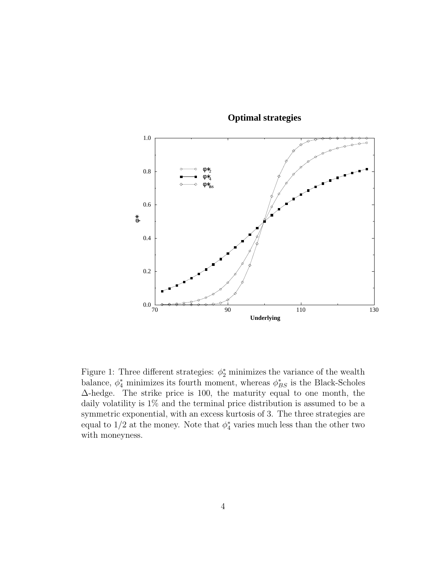

 **Optimal strategies**

Figure 1: Three different strategies:  $\phi_2^*$  minimizes the variance of the wealth balance,  $\phi_4^*$  minimizes its fourth moment, whereas  $\phi_{BS}^*$  is the Black-Scholes ∆-hedge. The strike price is 100, the maturity equal to one month, the daily volatility is  $1\%$  and the terminal price distribution is assumed to be a symmetric exponential, with an excess kurtosis of 3. The three strategies are equal to  $1/2$  at the money. Note that  $\phi_4^*$  varies much less than the other two with moneyness.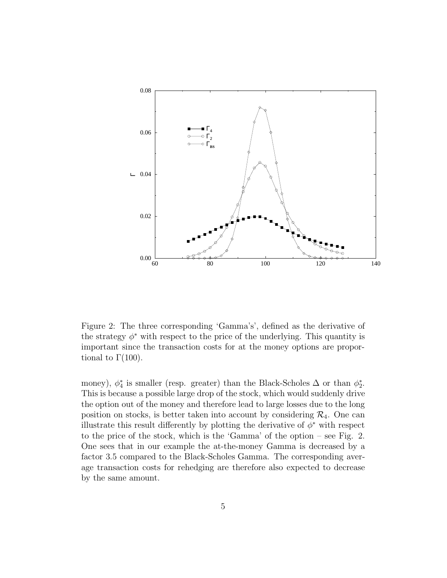

Figure 2: The three corresponding 'Gamma's', defined as the derivative of the strategy  $\phi^*$  with respect to the price of the underlying. This quantity is important since the transaction costs for at the money options are proportional to  $Γ(100)$ .

money),  $\phi_4^*$  is smaller (resp. greater) than the Black-Scholes  $\Delta$  or than  $\phi_2^*$ . This is because a possible large drop of the stock, which would suddenly drive the option out of the money and therefore lead to large losses due to the long position on stocks, is better taken into account by considering  $\mathcal{R}_4$ . One can illustrate this result differently by plotting the derivative of  $\phi^*$  with respect to the price of the stock, which is the 'Gamma' of the option – see Fig. 2. One sees that in our example the at-the-money Gamma is decreased by a factor 3.5 compared to the Black-Scholes Gamma. The corresponding average transaction costs for rehedging are therefore also expected to decrease by the same amount.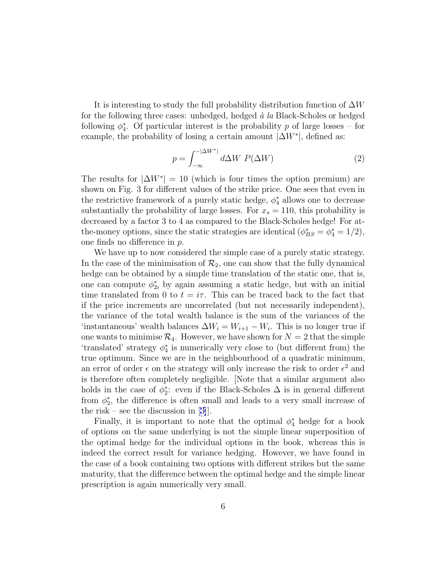It is interesting to study the full probability distribution function of  $\Delta W$ for the following three cases: unhedged, hedged  $\dot{a}$  la Black-Scholes or hedged following  $\phi_4^*$ . Of particular interest is the probability p of large losses – for example, the probability of losing a certain amount  $|\Delta W^*|$ , defined as:

$$
p = \int_{-\infty}^{-|\Delta W^*|} d\Delta W \ P(\Delta W) \tag{2}
$$

The results for  $|\Delta W^*| = 10$  (which is four times the option premium) are shown on Fig. 3 for different values of the strike price. One sees that even in the restrictive framework of a purely static hedge,  $\phi_4^*$  allows one to decrease substantially the probability of large losses. For  $x_s = 110$ , this probability is decreased by a factor 3 to 4 as compared to the Black-Scholes hedge! For atthe-money options, since the static strategies are identical  $(\phi_{BS}^* = \phi_4^* = 1/2)$ , one finds no difference in p.

We have up to now considered the simple case of a purely static strategy. In the case of the minimisation of  $\mathcal{R}_2$ , one can show that the fully dynamical hedge can be obtained by a simple time translation of the static one, that is, one can compute  $\phi_{2i}^*$  by again assuming a static hedge, but with an initial time translated from 0 to  $t = i\tau$ . This can be traced back to the fact that if the price increments are uncorrelated (but not necessarily independent), the variance of the total wealth balance is the sum of the variances of the 'instantaneous' wealth balances  $\Delta W_i = W_{i+1} - W_i$ . This is no longer true if one wants to minimise  $\mathcal{R}_4$ . However, we have shown for  $N = 2$  that the simple 'translated' strategy  $\phi_4^*$  is numerically very close to (but different from) the true optimum. Since we are in the neighbourhood of a quadratic minimum, an error of order  $\epsilon$  on the strategy will only increase the risk to order  $\epsilon^2$  and is therefore often completely negligible. [Note that a similar argument also holds in the case of  $\phi_2^*$ : even if the Black-Scholes  $\Delta$  is in general different from  $\phi_2^*$ , the difference is often small and leads to a very small increase of the risk – see the discussion in  $|3|$ .

Finally, it is important to note that the optimal  $\phi_4^*$  hedge for a book of options on the same underlying is not the simple linear superposition of the optimal hedge for the individual options in the book, whereas this is indeed the correct result for variance hedging. However, we have found in the case of a book containing two options with different strikes but the same maturity, that the difference between the optimal hedge and the simple linear prescription is again numerically very small.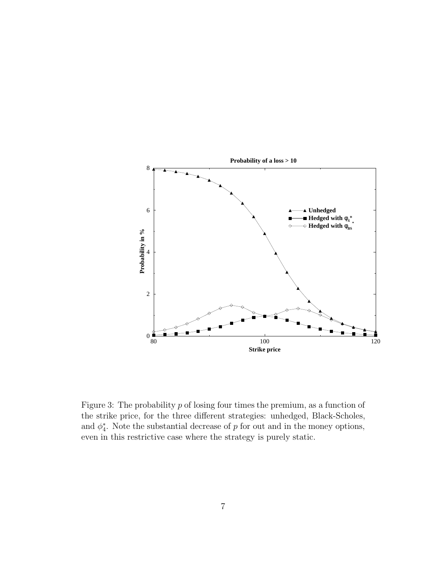

Figure 3: The probability  $p$  of losing four times the premium, as a function of the strike price, for the three different strategies: unhedged, Black-Scholes, and  $\phi_4^*$ . Note the substantial decrease of p for out and in the money options, even in this restrictive case where the strategy is purely static.